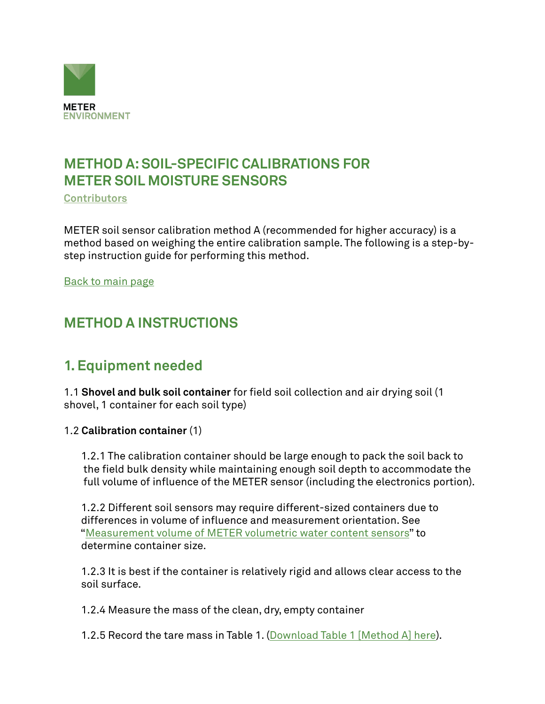

## **METHOD A: SOIL-SPECIFIC CALIBRATIONS FOR METER SOIL MOISTURE SENSORS**

**[Contributors](https://www.metergroup.com/en/meter-environment)**

METER soil sensor calibration method A (recommended for higher accuracy) is a method based on weighing the entire calibration sample. The following is a step-bystep instruction guide for performing this method.

[Back to main page](http://publications.metergroup.com/Sales%20and%20Support/METER%20Environment/Website%20Articles/how-calibrate-soil-moisture-sensors.pdf)

# **METHOD A INSTRUCTIONS**

## **1. Equipment needed**

1.1 **Shovel and bulk soil container** for field soil collection and air drying soil (1 shovel, 1 container for each soil type)

### 1.2 **Calibration container** (1)

 1.2.1 The calibration container should be large enough to pack the soil back to the field bulk density while maintaining enough soil depth to accommodate the full volume of influence of the METER sensor (including the electronics portion).

 1.2.2 Different soil sensors may require different-sized containers due to differences in volume of influence and measurement orientation. See ["Measurement volume of METER volumetric water content sensors"](https://publications.metergroup.com/Sales%20and%20Support/METER%20Environment/Website%20Articles/measurement-volume-meter-volumetric-water-content-sensors.pdf) to determine container size.

 1.2.3 It is best if the container is relatively rigid and allows clear access to the soil surface.

1.2.4 Measure the mass of the clean, dry, empty container

1.2.5 Record the tare mass in Table 1. [\(Download Table 1 \[Method A\] here\)](http://publications.metergroup.com/Sales%20and%20Support/METER%20Environment/Website%20Articles/Soil-Calibrations-Example-Sheet-Method-A-B-3.xlsx).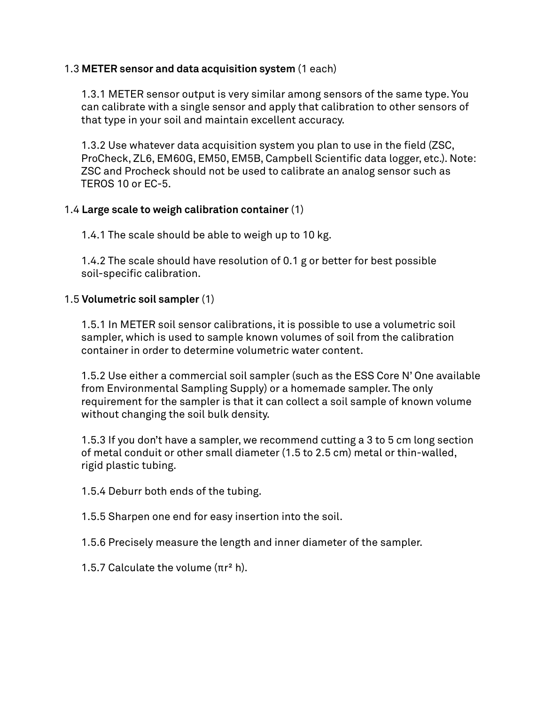### 1.3 **METER sensor and data acquisition system** (1 each)

 1.3.1 METER sensor output is very similar among sensors of the same type. You can calibrate with a single sensor and apply that calibration to other sensors of that type in your soil and maintain excellent accuracy.

 1.3.2 Use whatever data acquisition system you plan to use in the field (ZSC, ProCheck, ZL6, EM60G, EM50, EM5B, Campbell Scientific data logger, etc.). Note: ZSC and Procheck should not be used to calibrate an analog sensor such as TEROS 10 or EC-5.

### 1.4 **Large scale to weigh calibration container** (1)

1.4.1 The scale should be able to weigh up to 10 kg.

 1.4.2 The scale should have resolution of 0.1 g or better for best possible soil-specific calibration.

#### 1.5 **Volumetric soil sampler** (1)

 1.5.1 In METER soil sensor calibrations, it is possible to use a volumetric soil sampler, which is used to sample known volumes of soil from the calibration container in order to determine volumetric water content.

 1.5.2 Use either a commercial soil sampler (such as the ESS Core N' One available from Environmental Sampling Supply) or a homemade sampler. The only requirement for the sampler is that it can collect a soil sample of known volume without changing the soil bulk density.

 1.5.3 If you don't have a sampler, we recommend cutting a 3 to 5 cm long section of metal conduit or other small diameter (1.5 to 2.5 cm) metal or thin-walled, rigid plastic tubing.

1.5.4 Deburr both ends of the tubing.

1.5.5 Sharpen one end for easy insertion into the soil.

1.5.6 Precisely measure the length and inner diameter of the sampler.

1.5.7 Calculate the volume (πr² h).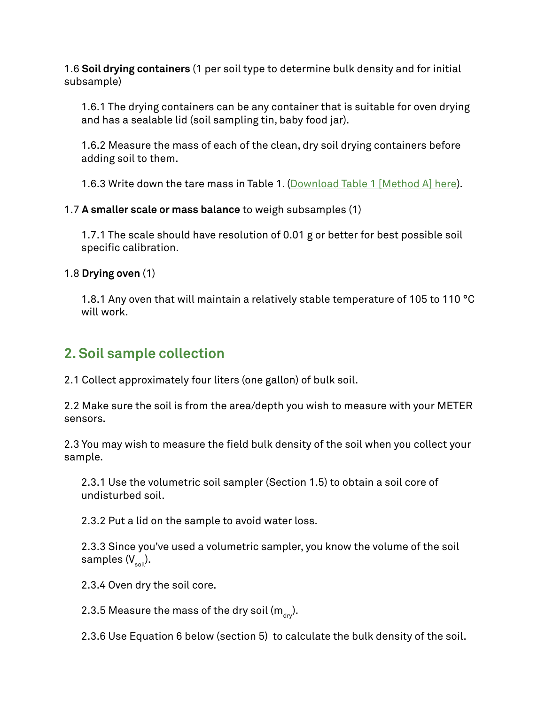1.6 **Soil drying containers** (1 per soil type to determine bulk density and for initial subsample)

 1.6.1 The drying containers can be any container that is suitable for oven drying and has a sealable lid (soil sampling tin, baby food jar).

 1.6.2 Measure the mass of each of the clean, dry soil drying containers before adding soil to them.

1.6.3 Write down the tare mass in Table 1. [\(Download Table 1 \[Method A\] here](http://publications.metergroup.com/Sales%20and%20Support/METER%20Environment/Website%20Articles/Soil-Calibrations-Example-Sheet-Method-A-B-3.xlsx)).

1.7 **A smaller scale or mass balance** to weigh subsamples (1)

 1.7.1 The scale should have resolution of 0.01 g or better for best possible soil specific calibration.

1.8 **Drying oven** (1)

 1.8.1 Any oven that will maintain a relatively stable temperature of 105 to 110 °C will work.

# **2. Soil sample collection**

2.1 Collect approximately four liters (one gallon) of bulk soil.

2.2 Make sure the soil is from the area/depth you wish to measure with your METER sensors.

2.3 You may wish to measure the field bulk density of the soil when you collect your sample.

 2.3.1 Use the volumetric soil sampler (Section 1.5) to obtain a soil core of undisturbed soil.

2.3.2 Put a lid on the sample to avoid water loss.

 2.3.3 Since you've used a volumetric sampler, you know the volume of the soil samples  $(V_{soli})$ .

2.3.4 Oven dry the soil core.

2.3.5 Measure the mass of the dry soil  $(m_{dyn})$ .

2.3.6 Use Equation 6 below (section 5) to calculate the bulk density of the soil.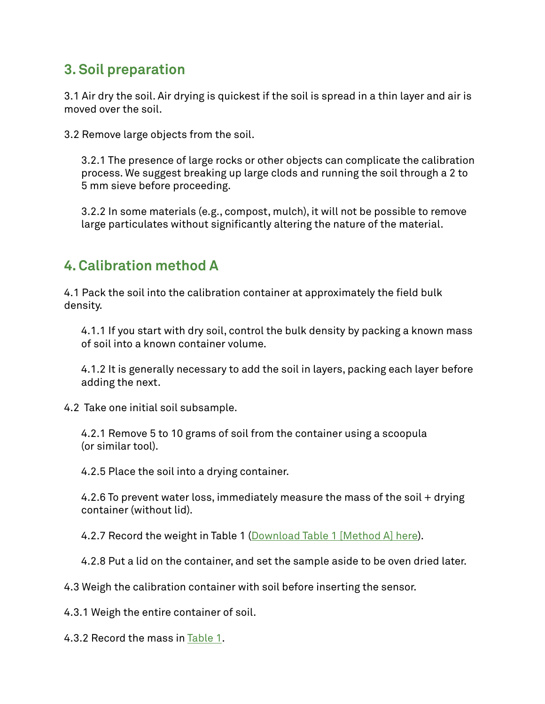# **3. Soil preparation**

3.1 Air dry the soil. Air drying is quickest if the soil is spread in a thin layer and air is moved over the soil.

3.2 Remove large objects from the soil.

 3.2.1 The presence of large rocks or other objects can complicate the calibration process. We suggest breaking up large clods and running the soil through a 2 to 5 mm sieve before proceeding.

 3.2.2 In some materials (e.g., compost, mulch), it will not be possible to remove large particulates without significantly altering the nature of the material.

# **4. Calibration method A**

4.1 Pack the soil into the calibration container at approximately the field bulk density.

 4.1.1 If you start with dry soil, control the bulk density by packing a known mass of soil into a known container volume.

 4.1.2 It is generally necessary to add the soil in layers, packing each layer before adding the next.

4.2 Take one initial soil subsample.

 4.2.1 Remove 5 to 10 grams of soil from the container using a scoopula (or similar tool).

4.2.5 Place the soil into a drying container.

 4.2.6 To prevent water loss, immediately measure the mass of the soil + drying container (without lid).

4.2.7 Record the weight in Table 1 ([Download Table 1 \[Method A\] here](http://publications.metergroup.com/Sales%20and%20Support/METER%20Environment/Website%20Articles/Soil-Calibrations-Example-Sheet-Method-A-B-3.xlsx)).

4.2.8 Put a lid on the container, and set the sample aside to be oven dried later.

4.3 Weigh the calibration container with soil before inserting the sensor.

4.3.1 Weigh the entire container of soil.

4.3.2 Record the mass in [Table 1](http://publications.metergroup.com/Sales%20and%20Support/METER%20Environment/Website%20Articles/Soil-Calibrations-Example-Sheet-Method-A-B-3.xlsx).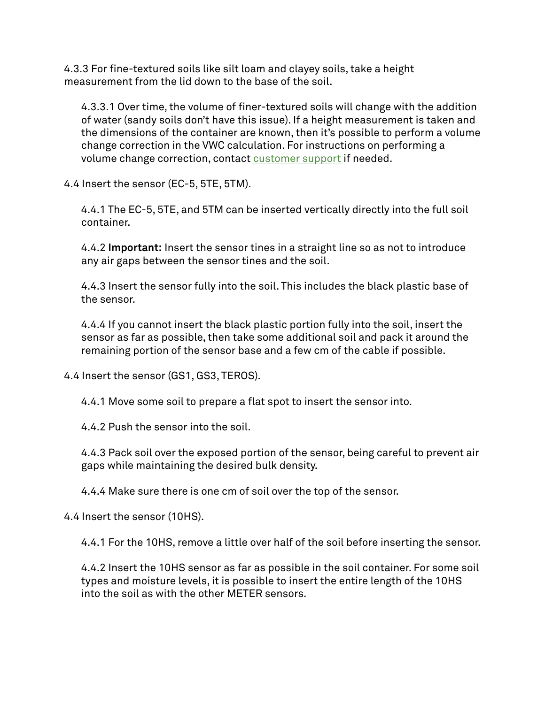4.3.3 For fine-textured soils like silt loam and clayey soils, take a height measurement from the lid down to the base of the soil.

 4.3.3.1 Over time, the volume of finer-textured soils will change with the addition of water (sandy soils don't have this issue). If a height measurement is taken and the dimensions of the container are known, then it's possible to perform a volume change correction in the VWC calculation. For instructions on performing a volume change correction, contact [customer support](https://www.metergroup.com/contact/) if needed.

4.4 Insert the sensor (EC-5, 5TE, 5TM).

 4.4.1 The EC-5, 5TE, and 5TM can be inserted vertically directly into the full soil container.

 4.4.2 **Important:** Insert the sensor tines in a straight line so as not to introduce any air gaps between the sensor tines and the soil.

 4.4.3 Insert the sensor fully into the soil. This includes the black plastic base of the sensor.

 4.4.4 If you cannot insert the black plastic portion fully into the soil, insert the sensor as far as possible, then take some additional soil and pack it around the remaining portion of the sensor base and a few cm of the cable if possible.

4.4 Insert the sensor (GS1, GS3, TEROS).

4.4.1 Move some soil to prepare a flat spot to insert the sensor into.

4.4.2 Push the sensor into the soil.

 4.4.3 Pack soil over the exposed portion of the sensor, being careful to prevent air gaps while maintaining the desired bulk density.

4.4.4 Make sure there is one cm of soil over the top of the sensor.

4.4 Insert the sensor (10HS).

4.4.1 For the 10HS, remove a little over half of the soil before inserting the sensor.

 4.4.2 Insert the 10HS sensor as far as possible in the soil container. For some soil types and moisture levels, it is possible to insert the entire length of the 10HS into the soil as with the other METER sensors.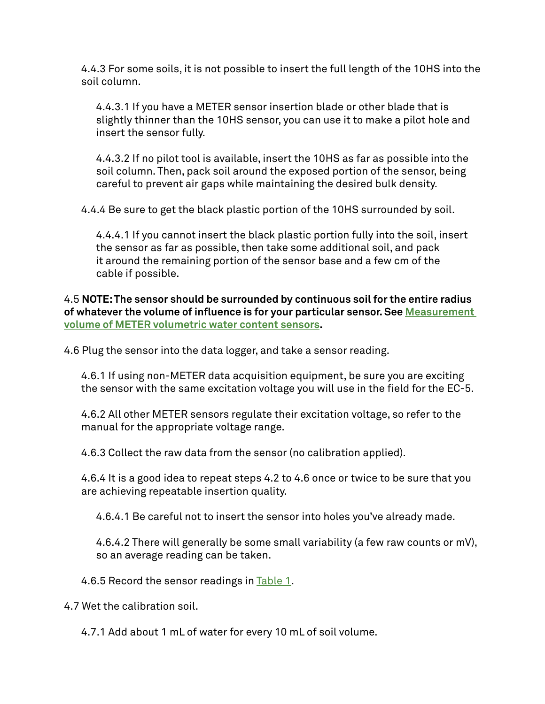4.4.3 For some soils, it is not possible to insert the full length of the 10HS into the soil column.

4.4.3.1 If you have a METER sensor insertion blade or other blade that is slightly thinner than the 10HS sensor, you can use it to make a pilot hole and insert the sensor fully.

4.4.3.2 If no pilot tool is available, insert the 10HS as far as possible into the soil column. Then, pack soil around the exposed portion of the sensor, being careful to prevent air gaps while maintaining the desired bulk density.

4.4.4 Be sure to get the black plastic portion of the 10HS surrounded by soil.

4.4.4.1 If you cannot insert the black plastic portion fully into the soil, insert the sensor as far as possible, then take some additional soil, and pack it around the remaining portion of the sensor base and a few cm of the cable if possible.

4.5 **NOTE: The sensor should be surrounded by continuous soil for the entire radius of whatever the volume of influence is for your particular sensor. See [Measurement](https://www.metergroup.com/environment/articles/measurement-volume-meter-volumetric-water-content-sensors/)  [volume of METER volumetric water content sensors](https://www.metergroup.com/environment/articles/measurement-volume-meter-volumetric-water-content-sensors/).**

4.6 Plug the sensor into the data logger, and take a sensor reading.

 4.6.1 If using non-METER data acquisition equipment, be sure you are exciting the sensor with the same excitation voltage you will use in the field for the EC-5.

 4.6.2 All other METER sensors regulate their excitation voltage, so refer to the manual for the appropriate voltage range.

4.6.3 Collect the raw data from the sensor (no calibration applied).

 4.6.4 It is a good idea to repeat steps 4.2 to 4.6 once or twice to be sure that you are achieving repeatable insertion quality.

4.6.4.1 Be careful not to insert the sensor into holes you've already made.

4.6.4.2 There will generally be some small variability (a few raw counts or mV), so an average reading can be taken.

4.6.5 Record the sensor readings in [Table 1](http://publications.metergroup.com/Sales%20and%20Support/METER%20Environment/Website%20Articles/Soil-Calibrations-Example-Sheet-Method-A-B-3.xlsx).

4.7 Wet the calibration soil.

4.7.1 Add about 1 mL of water for every 10 mL of soil volume.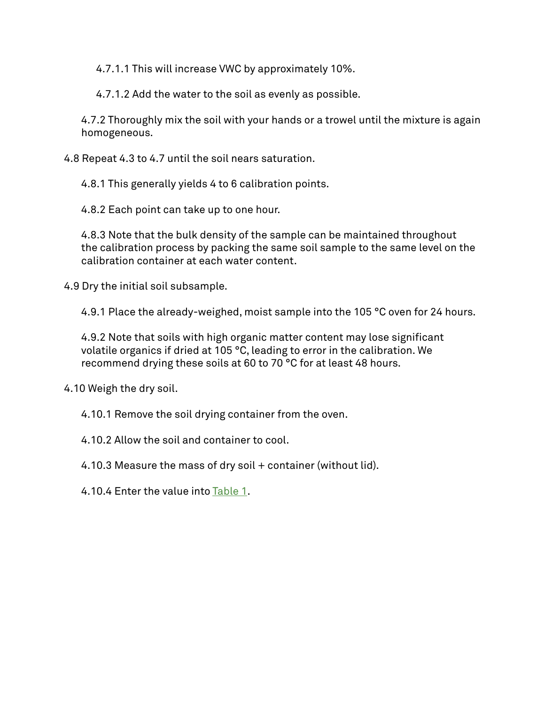4.7.1.1 This will increase VWC by approximately 10%.

4.7.1.2 Add the water to the soil as evenly as possible.

 4.7.2 Thoroughly mix the soil with your hands or a trowel until the mixture is again homogeneous.

4.8 Repeat 4.3 to 4.7 until the soil nears saturation.

4.8.1 This generally yields 4 to 6 calibration points.

4.8.2 Each point can take up to one hour.

 4.8.3 Note that the bulk density of the sample can be maintained throughout the calibration process by packing the same soil sample to the same level on the calibration container at each water content.

4.9 Dry the initial soil subsample.

4.9.1 Place the already-weighed, moist sample into the 105 °C oven for 24 hours.

 4.9.2 Note that soils with high organic matter content may lose significant volatile organics if dried at 105 °C, leading to error in the calibration. We recommend drying these soils at 60 to 70 °C for at least 48 hours.

4.10 Weigh the dry soil.

4.10.1 Remove the soil drying container from the oven.

4.10.2 Allow the soil and container to cool.

4.10.3 Measure the mass of dry soil + container (without lid).

4.10.4 Enter the value into [Table 1.](http://publications.metergroup.com/Sales%20and%20Support/METER%20Environment/Website%20Articles/Soil-Calibrations-Example-Sheet-Method-A-B-3.xlsx)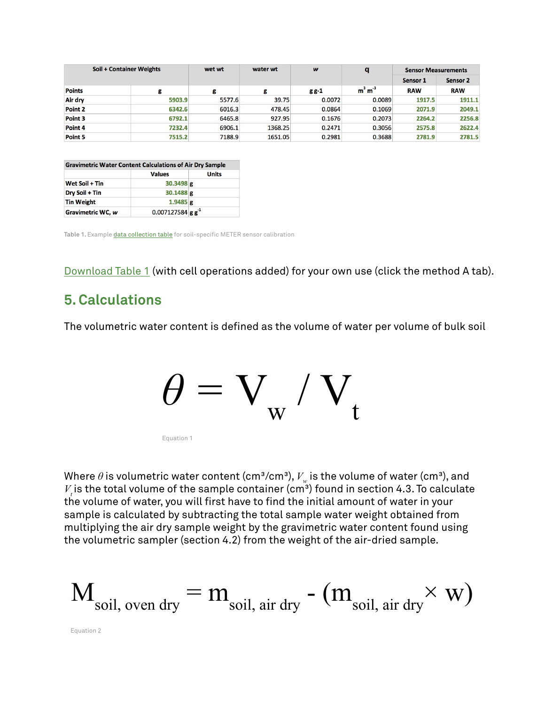|               | Soil + Container Weights | wet wt | water wt | W      | q        | <b>Sensor Measurements</b> |                     |
|---------------|--------------------------|--------|----------|--------|----------|----------------------------|---------------------|
|               |                          |        |          |        |          | Sensor 1                   | Sensor <sub>2</sub> |
| <b>Points</b> | g                        | g      | g        | gg1    | $m3 m-3$ | <b>RAW</b>                 | <b>RAW</b>          |
| Air dry       | 5903.9                   | 5577.6 | 39.75    | 0.0072 | 0.0089   | 1917.5                     | 1911.1              |
| Point 2       | 6342.6                   | 6016.3 | 478.45   | 0.0864 | 0.1069   | 2071.9                     | 2049.1              |
| Point 3       | 6792.1                   | 6465.8 | 927.95   | 0.1676 | 0.2073   | 2264.2                     | 2256.8              |
| Point 4       | 7232.4                   | 6906.1 | 1368.25  | 0.2471 | 0.3056   | 2575.8                     | 2622.4              |
| Point 5       | 7515.2                   | 7188.9 | 1651.05  | 0.2981 | 0.3688   | 2781.9                     | 2781.5              |

| <b>Gravimetric Water Content Calculations of Air Dry Sample</b> |                                 |              |  |  |  |
|-----------------------------------------------------------------|---------------------------------|--------------|--|--|--|
|                                                                 | <b>Values</b>                   | <b>Units</b> |  |  |  |
| Wet Soil + Tin                                                  | 30.3498 g                       |              |  |  |  |
| Dry Soil + Tin                                                  | 30.1488 g                       |              |  |  |  |
| <b>Tin Weight</b>                                               | $1.9485$ g                      |              |  |  |  |
| Gravimetric WC, w                                               | $0.007127584$ g g <sup>-1</sup> |              |  |  |  |

Table 1. Example *data collection table* for soil-specific METER sensor calibration

[Download Table 1](http://publications.metergroup.com/Sales%20and%20Support/METER%20Environment/Website%20Articles/Soil-Calibrations-Example-Sheet-Method-A-B-3.xlsx) (with cell operations added) for your own use (click the method A tab).

### **5. Calculations**

The volumetric water content is defined as the volume of water per volume of bulk soil



Where  $\theta$  is volumetric water content (cm<sup>3</sup>/cm<sup>3</sup>),  $V_w$  is the volume of water (cm<sup>3</sup>), and  $V_{\mu}$  is the total volume of the sample container (cm $^3$ ) found in section 4.3. To calculate the volume of water, you will first have to find the initial amount of water in your sample is calculated by subtracting the total sample water weight obtained from multiplying the air dry sample weight by the gravimetric water content found using the volumetric sampler (section 4.2) from the weight of the air-dried sample.

$$
M_{\text{soil, oven dry}} = m_{\text{soil, air dry}} - (m_{\text{soil, air dry}} \times w)
$$

Equation 2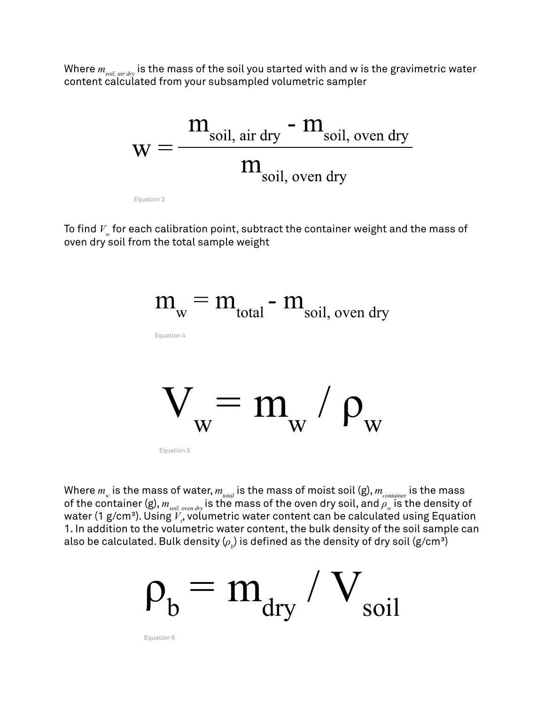Where *msoil, air dry* is the mass of the soil you started with and w is the gravimetric water content calculated from your subsampled volumetric sampler



To find  $V_w$  for each calibration point, subtract the container weight and the mass of oven dry soil from the total sample weight



Where  $m_{_w}$  is the mass of water,  $m_{_{total}}$  is the mass of moist soil (g),  $m_{_{contact}}$  is the mass of the container (g),  $m_{_{soil,\ over\ dry}}$  is the mass of the oven dry soil, and  $\rho_{_w}$  is the density of water (1 g/cmª). Using  $V_{_{t}}$ , volumetric water content can be calculated using Equation 1. In addition to the volumetric water content, the bulk density of the soil sample can also be calculated. Bulk density  $(\rho_{_b})$  is defined as the density of dry soil (g/cm $^{\rm 3)}$ 



Equation 6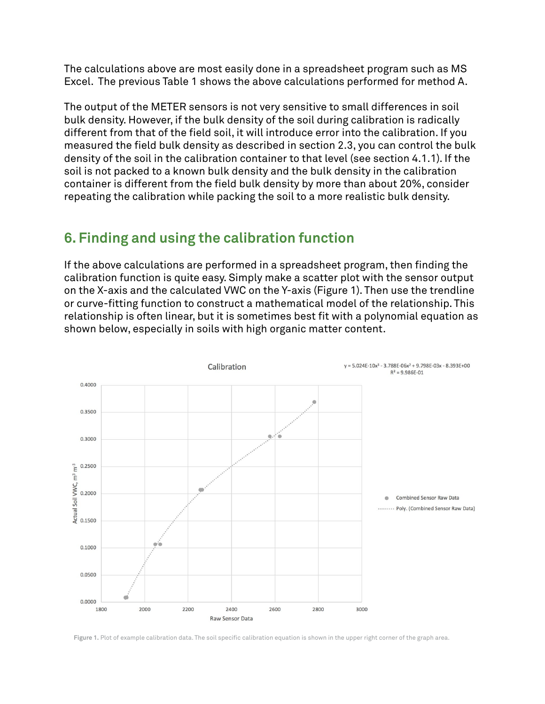The calculations above are most easily done in a spreadsheet program such as MS Excel. The previous Table 1 shows the above calculations performed for method A.

The output of the METER sensors is not very sensitive to small differences in soil bulk density. However, if the bulk density of the soil during calibration is radically different from that of the field soil, it will introduce error into the calibration. If you measured the field bulk density as described in section 2.3, you can control the bulk density of the soil in the calibration container to that level (see section 4.1.1). If the soil is not packed to a known bulk density and the bulk density in the calibration container is different from the field bulk density by more than about 20%, consider repeating the calibration while packing the soil to a more realistic bulk density.

# **6. Finding and using the calibration function**

If the above calculations are performed in a spreadsheet program, then finding the calibration function is quite easy. Simply make a scatter plot with the sensor output on the X-axis and the calculated VWC on the Y-axis (Figure 1). Then use the trendline or curve-fitting function to construct a mathematical model of the relationship. This relationship is often linear, but it is sometimes best fit with a polynomial equation as shown below, especially in soils with high organic matter content.



Figure 1. Plot of example calibration data. The soil specific calibration equation is shown in the upper right corner of the graph area.